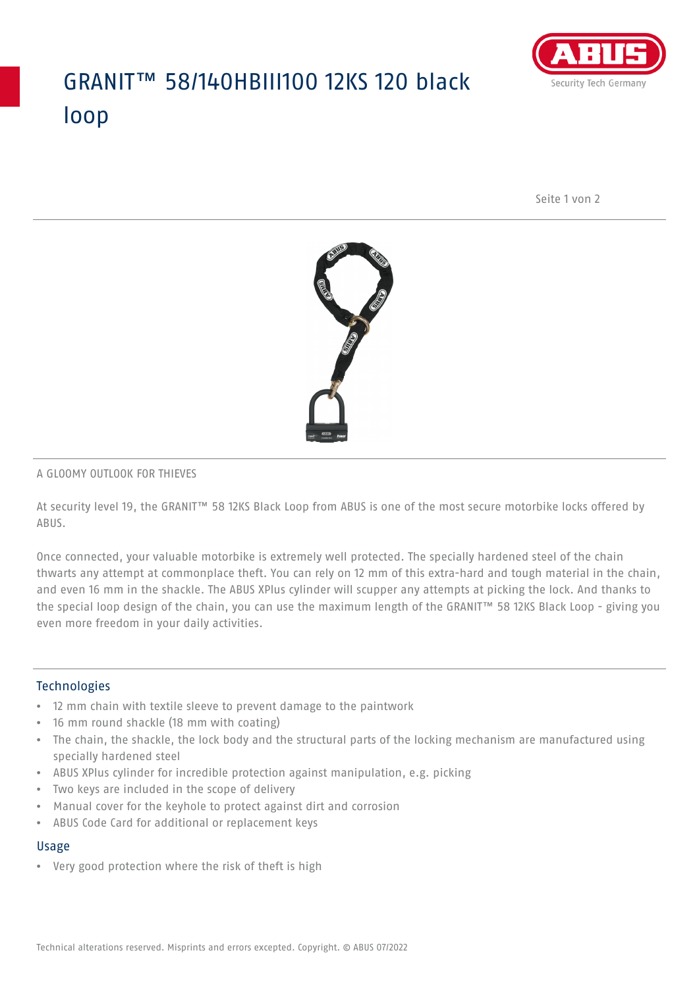## GRANIT™ 58/140HBIII100 12KS 120 black loop



Seite 1 von 2



#### A GLOOMY OUTLOOK FOR THIEVES

At security level 19, the GRANIT™ 58 12KS Black Loop from ABUS is one of the most secure motorbike locks offered by ABUS.

Once connected, your valuable motorbike is extremely well protected. The specially hardened steel of the chain thwarts any attempt at commonplace theft. You can rely on 12 mm of this extra-hard and tough material in the chain, and even 16 mm in the shackle. The ABUS XPlus cylinder will scupper any attempts at picking the lock. And thanks to the special loop design of the chain, you can use the maximum length of the GRANIT™ 58 12KS Black Loop - giving you even more freedom in your daily activities.

#### Technologies

- 12 mm chain with textile sleeve to prevent damage to the paintwork
- 16 mm round shackle (18 mm with coating)
- The chain, the shackle, the lock body and the structural parts of the locking mechanism are manufactured using specially hardened steel
- ABUS XPlus cylinder for incredible protection against manipulation, e.g. picking
- Two keys are included in the scope of delivery
- Manual cover for the keyhole to protect against dirt and corrosion
- ABUS Code Card for additional or replacement keys

## Usage

• Very good protection where the risk of theft is high